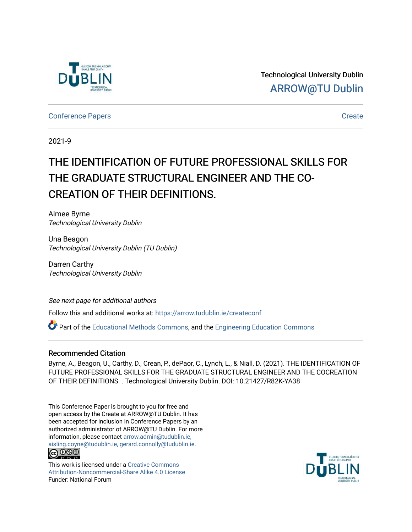

Technological University Dublin [ARROW@TU Dublin](https://arrow.tudublin.ie/) 

[Conference Papers](https://arrow.tudublin.ie/createconf) **Create** 

2021-9

# THE IDENTIFICATION OF FUTURE PROFESSIONAL SKILLS FOR THE GRADUATE STRUCTURAL ENGINEER AND THE CO-CREATION OF THEIR DEFINITIONS.

Aimee Byrne Technological University Dublin

Una Beagon Technological University Dublin (TU Dublin)

Darren Carthy Technological University Dublin

See next page for additional authors

Follow this and additional works at: [https://arrow.tudublin.ie/createconf](https://arrow.tudublin.ie/createconf?utm_source=arrow.tudublin.ie%2Fcreateconf%2F2&utm_medium=PDF&utm_campaign=PDFCoverPages) 

Part of the [Educational Methods Commons,](http://network.bepress.com/hgg/discipline/1227?utm_source=arrow.tudublin.ie%2Fcreateconf%2F2&utm_medium=PDF&utm_campaign=PDFCoverPages) and the [Engineering Education Commons](http://network.bepress.com/hgg/discipline/1191?utm_source=arrow.tudublin.ie%2Fcreateconf%2F2&utm_medium=PDF&utm_campaign=PDFCoverPages) 

#### Recommended Citation

Byrne, A., Beagon, U., Carthy, D., Crean, P., dePaor, C., Lynch, L., & Niall, D. (2021). THE IDENTIFICATION OF FUTURE PROFESSIONAL SKILLS FOR THE GRADUATE STRUCTURAL ENGINEER AND THE COCREATION OF THEIR DEFINITIONS. . Technological University Dublin. DOI: 10.21427/R82K-YA38

This Conference Paper is brought to you for free and open access by the Create at ARROW@TU Dublin. It has been accepted for inclusion in Conference Papers by an authorized administrator of ARROW@TU Dublin. For more information, please contact [arrow.admin@tudublin.ie,](mailto:arrow.admin@tudublin.ie,%20aisling.coyne@tudublin.ie,%20gerard.connolly@tudublin.ie)  [aisling.coyne@tudublin.ie, gerard.connolly@tudublin.ie](mailto:arrow.admin@tudublin.ie,%20aisling.coyne@tudublin.ie,%20gerard.connolly@tudublin.ie). **@** 00

This work is licensed under a [Creative Commons](http://creativecommons.org/licenses/by-nc-sa/4.0/) [Attribution-Noncommercial-Share Alike 4.0 License](http://creativecommons.org/licenses/by-nc-sa/4.0/) Funder: National Forum

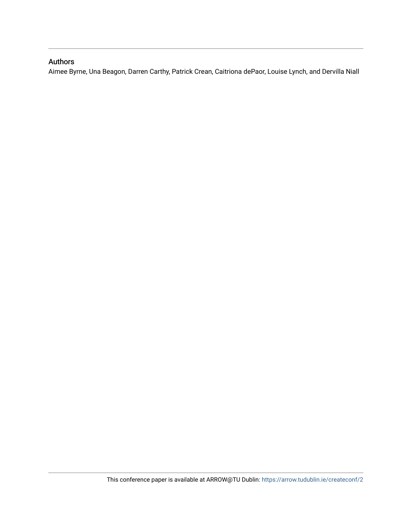#### Authors

Aimee Byrne, Una Beagon, Darren Carthy, Patrick Crean, Caitriona dePaor, Louise Lynch, and Dervilla Niall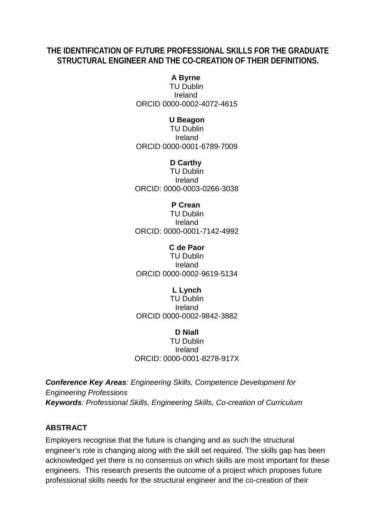# **THE IDENTIFICATION OF FUTURE PROFESSIONAL SKILLS FOR THE GRADUATE STRUCTURAL ENGINEER AND THE CO-CREATION OF THEIR DEFINITIONS.**

#### **A Byrne**

 TU Dublin Ireland ORCID 0000-0002-4072-4615

#### **U Beagon**

TU Dublin Ireland ORCID 0000-0001-6789-7009

**D Carthy** TU Dublin Ireland ORCID: 0000-0003-0266-3038

#### **P Crean**

TU Dublin Ireland ORCID: 0000-0001-7142-4992

**C de Paor** TU Dublin Ireland ORCID 0000-0002-9619-5134

#### **L Lynch**

TU Dublin Ireland ORCID 0000-0002-9842-3882

**D Niall**

TU Dublin Ireland ORCID: 0000-0001-8278-917X

*Conference Key Areas: Engineering Skills, Competence Development for Engineering Professions Keywords: Professional Skills, Engineering Skills, Co-creation of Curriculum* 

#### **ABSTRACT**

Employers recognise that the future is changing and as such the structural engineer's role is changing along with the skill set required. The skills gap has been acknowledged yet there is no consensus on which skills are most important for these engineers. This research presents the outcome of a project which proposes future professional skills needs for the structural engineer and the co-creation of their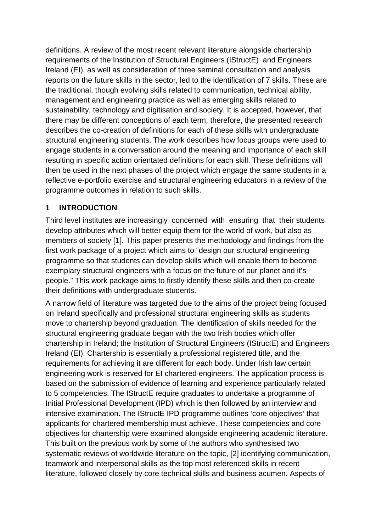definitions. A review of the most recent relevant literature alongside chartership requirements of the Institution of Structural Engineers (IStructE) and Engineers Ireland (EI), as well as consideration of three seminal consultation and analysis reports on the future skills in the sector, led to the identification of 7 skills. These are the traditional, though evolving skills related to communication, technical ability, management and engineering practice as well as emerging skills related to sustainability, technology and digitisation and society. It is accepted, however, that there may be different conceptions of each term, therefore, the presented research describes the co-creation of definitions for each of these skills with undergraduate structural engineering students. The work describes how focus groups were used to engage students in a conversation around the meaning and importance of each skill resulting in specific action orientated definitions for each skill. These definitions will then be used in the next phases of the project which engage the same students in a reflective e-portfolio exercise and structural engineering educators in a review of the programme outcomes in relation to such skills.

# **1 INTRODUCTION**

Third level institutes are increasingly concerned with ensuring that their students develop attributes which will better equip them for the world of work, but also as members of society [1]. This paper presents the methodology and findings from the first work package of a project which aims to "design our structural engineering programme so that students can develop skills which will enable them to become exemplary structural engineers with a focus on the future of our planet and it's people." This work package aims to firstly identify these skills and then co-create their definitions with undergraduate students.

A narrow field of literature was targeted due to the aims of the project being focused on Ireland specifically and professional structural engineering skills as students move to chartership beyond graduation. The identification of skills needed for the structural engineering graduate began with the two Irish bodies which offer chartership in Ireland; the Institution of Structural Engineers (IStructE) and Engineers Ireland (EI). Chartership is essentially a professional registered title, and the requirements for achieving it are different for each body. Under Irish law certain engineering work is reserved for EI chartered engineers. The application process is based on the submission of evidence of learning and experience particularly related to 5 competencies. The IStructE require graduates to undertake a programme of Initial Professional Development (IPD) which is then followed by an interview and intensive examination. The IStructE IPD programme outlines 'core objectives' that applicants for chartered membership must achieve. These competencies and core objectives for chartership were examined alongside engineering academic literature. This built on the previous work by some of the authors who synthesised two systematic reviews of worldwide literature on the topic, [2] identifying communication, teamwork and interpersonal skills as the top most referenced skills in recent literature, followed closely by core technical skills and business acumen. Aspects of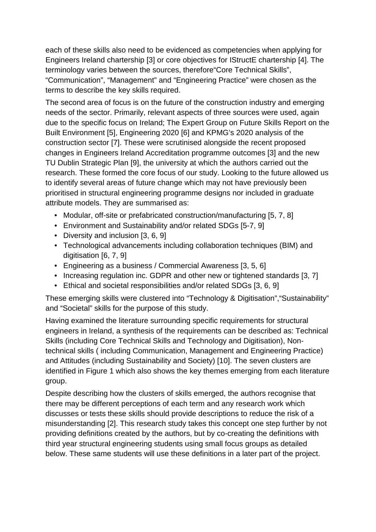each of these skills also need to be evidenced as competencies when applying for Engineers Ireland chartership [3] or core objectives for IStructE chartership [4]. The terminology varies between the sources, therefore"Core Technical Skills", "Communication", "Management" and "Engineering Practice" were chosen as the terms to describe the key skills required.

The second area of focus is on the future of the construction industry and emerging needs of the sector. Primarily, relevant aspects of three sources were used, again due to the specific focus on Ireland; The Expert Group on Future Skills Report on the Built Environment [5], Engineering 2020 [6] and KPMG's 2020 analysis of the construction sector [7]. These were scrutinised alongside the recent proposed changes in Engineers Ireland Accreditation programme outcomes [3] and the new TU Dublin Strategic Plan [9], the university at which the authors carried out the research. These formed the core focus of our study. Looking to the future allowed us to identify several areas of future change which may not have previously been prioritised in structural engineering programme designs nor included in graduate attribute models. They are summarised as:

- Modular, off-site or prefabricated construction/manufacturing [5, 7, 8]
- Environment and Sustainability and/or related SDGs [5-7, 9]
- Diversity and inclusion [3, 6, 9]
- Technological advancements including collaboration techniques (BIM) and digitisation [6, 7, 9]
- Engineering as a business / Commercial Awareness [3, 5, 6]
- Increasing regulation inc. GDPR and other new or tightened standards [3, 7]
- Ethical and societal responsibilities and/or related SDGs [3, 6, 9]

These emerging skills were clustered into "Technology & Digitisation","Sustainability" and "Societal" skills for the purpose of this study.

Having examined the literature surrounding specific requirements for structural engineers in Ireland, a synthesis of the requirements can be described as: Technical Skills (including Core Technical Skills and Technology and Digitisation), Nontechnical skills ( including Communication, Management and Engineering Practice) and Attitudes (including Sustainability and Society) [10]. The seven clusters are identified in Figure 1 which also shows the key themes emerging from each literature group.

Despite describing how the clusters of skills emerged, the authors recognise that there may be different perceptions of each term and any research work which discusses or tests these skills should provide descriptions to reduce the risk of a misunderstanding [2]. This research study takes this concept one step further by not providing definitions created by the authors, but by co-creating the definitions with third year structural engineering students using small focus groups as detailed below. These same students will use these definitions in a later part of the project.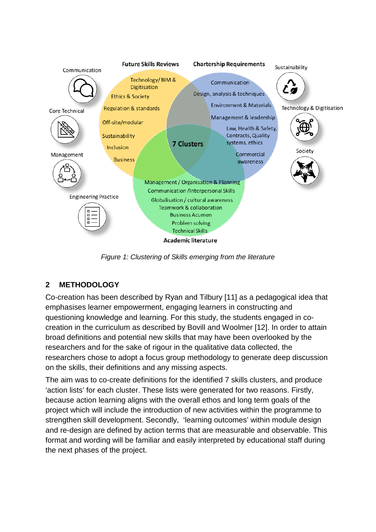

*Figure 1: Clustering of Skills emerging from the literature*

# **2 METHODOLOGY**

Co-creation has been described by Ryan and Tilbury [11] as a pedagogical idea that emphasises learner empowerment, engaging learners in constructing and questioning knowledge and learning. For this study, the students engaged in cocreation in the curriculum as described by Bovill and Woolmer [12]. In order to attain broad definitions and potential new skills that may have been overlooked by the researchers and for the sake of rigour in the qualitative data collected, the researchers chose to adopt a focus group methodology to generate deep discussion on the skills, their definitions and any missing aspects.

The aim was to co-create definitions for the identified 7 skills clusters, and produce 'action lists' for each cluster. These lists were generated for two reasons. Firstly, because action learning aligns with the overall ethos and long term goals of the project which will include the introduction of new activities within the programme to strengthen skill development. Secondly, 'learning outcomes' within module design and re-design are defined by action terms that are measurable and observable. This format and wording will be familiar and easily interpreted by educational staff during the next phases of the project.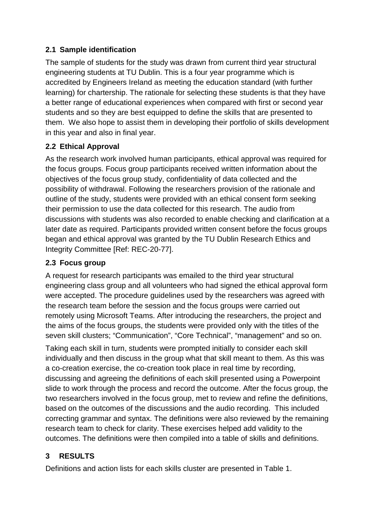# **2.1 Sample identification**

The sample of students for the study was drawn from current third year structural engineering students at TU Dublin. This is a four year programme which is accredited by Engineers Ireland as meeting the education standard (with further learning) for chartership. The rationale for selecting these students is that they have a better range of educational experiences when compared with first or second year students and so they are best equipped to define the skills that are presented to them. We also hope to assist them in developing their portfolio of skills development in this year and also in final year.

# **2.2 Ethical Approval**

As the research work involved human participants, ethical approval was required for the focus groups. Focus group participants received written information about the objectives of the focus group study, confidentiality of data collected and the possibility of withdrawal. Following the researchers provision of the rationale and outline of the study, students were provided with an ethical consent form seeking their permission to use the data collected for this research. The audio from discussions with students was also recorded to enable checking and clarification at a later date as required. Participants provided written consent before the focus groups began and ethical approval was granted by the TU Dublin Research Ethics and Integrity Committee [Ref: REC-20-77].

# **2.3 Focus group**

A request for research participants was emailed to the third year structural engineering class group and all volunteers who had signed the ethical approval form were accepted. The procedure guidelines used by the researchers was agreed with the research team before the session and the focus groups were carried out remotely using Microsoft Teams. After introducing the researchers, the project and the aims of the focus groups, the students were provided only with the titles of the seven skill clusters; "Communication", "Core Technical", "management" and so on.

Taking each skill in turn, students were prompted initially to consider each skill individually and then discuss in the group what that skill meant to them. As this was a co-creation exercise, the co-creation took place in real time by recording, discussing and agreeing the definitions of each skill presented using a Powerpoint slide to work through the process and record the outcome. After the focus group, the two researchers involved in the focus group, met to review and refine the definitions, based on the outcomes of the discussions and the audio recording. This included correcting grammar and syntax. The definitions were also reviewed by the remaining research team to check for clarity. These exercises helped add validity to the outcomes. The definitions were then compiled into a table of skills and definitions.

# **3 RESULTS**

Definitions and action lists for each skills cluster are presented in Table 1.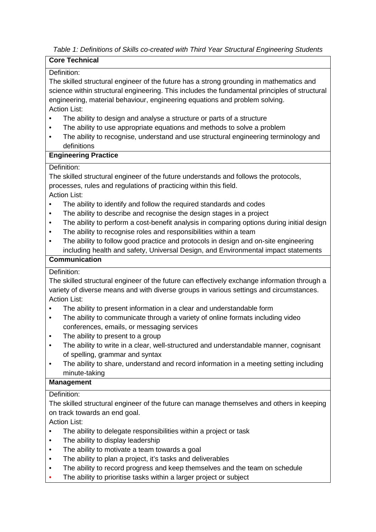*Table 1: Definitions of Skills co-created with Third Year Structural Engineering Students*

#### **Core Technical**

#### Definition:

The skilled structural engineer of the future has a strong grounding in mathematics and science within structural engineering. This includes the fundamental principles of structural engineering, material behaviour, engineering equations and problem solving. Action List:

- The ability to design and analyse a structure or parts of a structure
- The ability to use appropriate equations and methods to solve a problem
- The ability to recognise, understand and use structural engineering terminology and definitions

#### **Engineering Practice**

#### Definition:

The skilled structural engineer of the future understands and follows the protocols, processes, rules and regulations of practicing within this field.

Action List:

- The ability to identify and follow the required standards and codes
- The ability to describe and recognise the design stages in a project
- The ability to perform a cost-benefit analysis in comparing options during initial design
- The ability to recognise roles and responsibilities within a team
- The ability to follow good practice and protocols in design and on-site engineering including health and safety, Universal Design, and Environmental impact statements

#### **Communication**

#### Definition:

The skilled structural engineer of the future can effectively exchange information through a variety of diverse means and with diverse groups in various settings and circumstances. Action List:

- The ability to present information in a clear and understandable form
- The ability to communicate through a variety of online formats including video conferences, emails, or messaging services
- The ability to present to a group
- The ability to write in a clear, well-structured and understandable manner, cognisant of spelling, grammar and syntax
- The ability to share, understand and record information in a meeting setting including minute-taking

#### **Management**

#### Definition:

The skilled structural engineer of the future can manage themselves and others in keeping on track towards an end goal.

Action List:

- The ability to delegate responsibilities within a project or task
- The ability to display leadership
- The ability to motivate a team towards a goal
- The ability to plan a project, it's tasks and deliverables
- The ability to record progress and keep themselves and the team on schedule
- The ability to prioritise tasks within a larger project or subject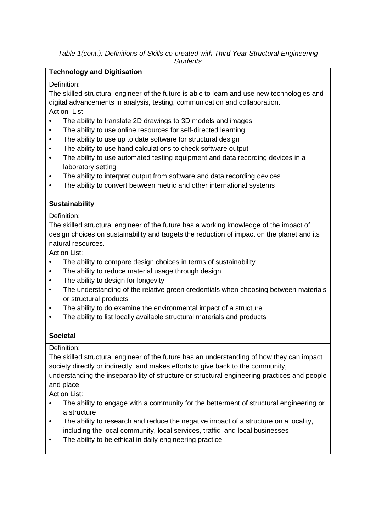#### *Table 1(cont.): Definitions of Skills co-created with Third Year Structural Engineering Students*

#### **Technology and Digitisation**

#### Definition:

The skilled structural engineer of the future is able to learn and use new technologies and digital advancements in analysis, testing, communication and collaboration. Action List:

- The ability to translate 2D drawings to 3D models and images
- The ability to use online resources for self-directed learning
- The ability to use up to date software for structural design
- The ability to use hand calculations to check software output
- The ability to use automated testing equipment and data recording devices in a laboratory setting
- The ability to interpret output from software and data recording devices
- The ability to convert between metric and other international systems

#### **Sustainability**

#### Definition:

The skilled structural engineer of the future has a working knowledge of the impact of design choices on sustainability and targets the reduction of impact on the planet and its natural resources.

Action List:

- The ability to compare design choices in terms of sustainability
- The ability to reduce material usage through design
- The ability to design for longevity
- The understanding of the relative green credentials when choosing between materials or structural products
- The ability to do examine the environmental impact of a structure
- The ability to list locally available structural materials and products

#### **Societal**

Definition:

The skilled structural engineer of the future has an understanding of how they can impact society directly or indirectly, and makes efforts to give back to the community,

understanding the inseparability of structure or structural engineering practices and people and place.

Action List:

- The ability to engage with a community for the betterment of structural engineering or a structure
- The ability to research and reduce the negative impact of a structure on a locality, including the local community, local services, traffic, and local businesses
- The ability to be ethical in daily engineering practice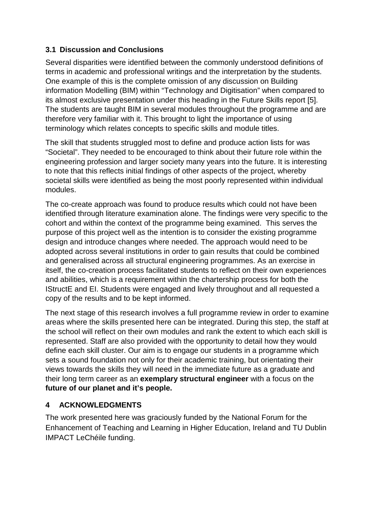## **3.1 Discussion and Conclusions**

Several disparities were identified between the commonly understood definitions of terms in academic and professional writings and the interpretation by the students. One example of this is the complete omission of any discussion on Building information Modelling (BIM) within "Technology and Digitisation" when compared to its almost exclusive presentation under this heading in the Future Skills report [5]. The students are taught BIM in several modules throughout the programme and are therefore very familiar with it. This brought to light the importance of using terminology which relates concepts to specific skills and module titles.

The skill that students struggled most to define and produce action lists for was "Societal". They needed to be encouraged to think about their future role within the engineering profession and larger society many years into the future. It is interesting to note that this reflects initial findings of other aspects of the project, whereby societal skills were identified as being the most poorly represented within individual modules.

The co-create approach was found to produce results which could not have been identified through literature examination alone. The findings were very specific to the cohort and within the context of the programme being examined. This serves the purpose of this project well as the intention is to consider the existing programme design and introduce changes where needed. The approach would need to be adopted across several institutions in order to gain results that could be combined and generalised across all structural engineering programmes. As an exercise in itself, the co-creation process facilitated students to reflect on their own experiences and abilities, which is a requirement within the chartership process for both the IStructE and EI. Students were engaged and lively throughout and all requested a copy of the results and to be kept informed.

The next stage of this research involves a full programme review in order to examine areas where the skills presented here can be integrated. During this step, the staff at the school will reflect on their own modules and rank the extent to which each skill is represented. Staff are also provided with the opportunity to detail how they would define each skill cluster. Our aim is to engage our students in a programme which sets a sound foundation not only for their academic training, but orientating their views towards the skills they will need in the immediate future as a graduate and their long term career as an **exemplary structural engineer** with a focus on the **future of our planet and it's people.**

# **4 ACKNOWLEDGMENTS**

The work presented here was graciously funded by the National Forum for the Enhancement of Teaching and Learning in Higher Education, Ireland and TU Dublin IMPACT LeChéile funding.